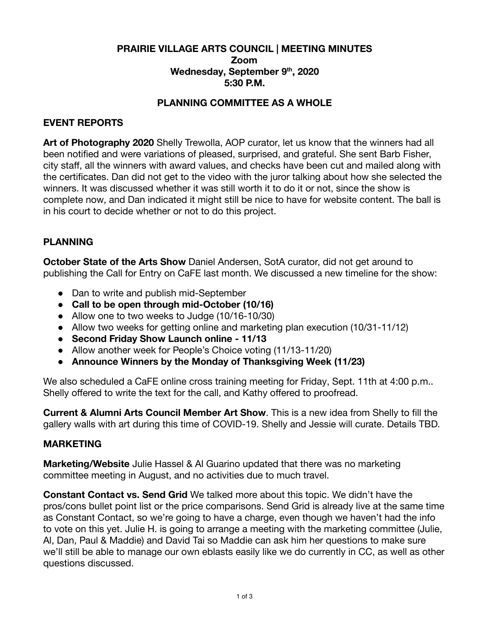## **PRAIRIE VILLAGE ARTS COUNCIL | MEETING MINUTES Zoom Wednesday, September 9 th , 2020 5:30 P.M.**

### **PLANNING COMMITTEE AS A WHOLE**

### **EVENT REPORTS**

**Art of Photography 2020** Shelly Trewolla, AOP curator, let us know that the winners had all been notified and were variations of pleased, surprised, and grateful. She sent Barb Fisher, city staff, all the winners with award values, and checks have been cut and mailed along with the certificates. Dan did not get to the video with the juror talking about how she selected the winners. It was discussed whether it was still worth it to do it or not, since the show is complete now, and Dan indicated it might still be nice to have for website content. The ball is in his court to decide whether or not to do this project.

## **PLANNING**

**October State of the Arts Show** Daniel Andersen, SotA curator, did not get around to publishing the Call for Entry on CaFE last month. We discussed a new timeline for the show:

- Dan to write and publish mid-September
- **● Call to be open through mid-October (10/16)**
- Allow one to two weeks to Judge (10/16-10/30)
- Allow two weeks for getting online and marketing plan execution (10/31-11/12)
- **● Second Friday Show Launch online 11/13**
- Allow another week for People's Choice voting (11/13-11/20)
- **● Announce Winners by the Monday of Thanksgiving Week (11/23)**

We also scheduled a CaFE online cross training meeting for Friday, Sept. 11th at 4:00 p.m.. Shelly offered to write the text for the call, and Kathy offered to proofread.

**Current & Alumni Arts Council Member Art Show**. This is a new idea from Shelly to fill the gallery walls with art during this time of COVID-19. Shelly and Jessie will curate. Details TBD.

#### **MARKETING**

**Marketing/Website** Julie Hassel & Al Guarino updated that there was no marketing committee meeting in August, and no activities due to much travel.

**Constant Contact vs. Send Grid** We talked more about this topic. We didn't have the pros/cons bullet point list or the price comparisons. Send Grid is already live at the same time as Constant Contact, so we're going to have a charge, even though we haven't had the info to vote on this yet. Julie H. is going to arrange a meeting with the marketing committee (Julie, Al, Dan, Paul & Maddie) and David Tai so Maddie can ask him her questions to make sure we'll still be able to manage our own eblasts easily like we do currently in CC, as well as other questions discussed.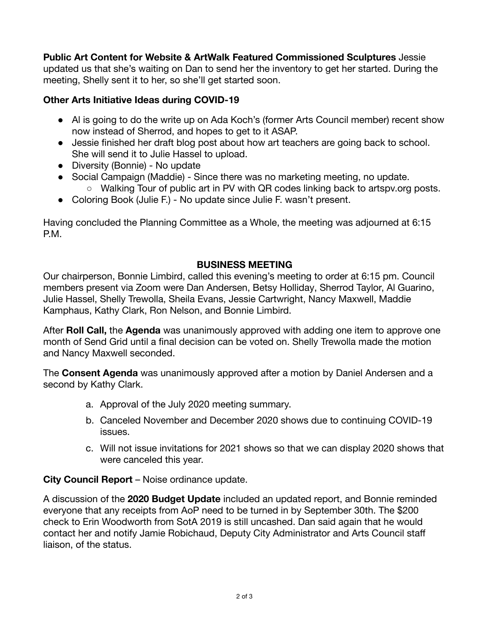**Public Art Content for Website & ArtWalk Featured Commissioned Sculptures** Jessie

updated us that she's waiting on Dan to send her the inventory to get her started. During the meeting, Shelly sent it to her, so she'll get started soon.

## **Other Arts Initiative Ideas during COVID-19**

- Al is going to do the write up on Ada Koch's (former Arts Council member) recent show now instead of Sherrod, and hopes to get to it ASAP.
- Jessie finished her draft blog post about how art teachers are going back to school. She will send it to Julie Hassel to upload.
- Diversity (Bonnie) No update
- Social Campaign (Maddie) Since there was no marketing meeting, no update. ○ Walking Tour of public art in PV with QR codes linking back to artspv.org posts.
- Coloring Book (Julie F.) No update since Julie F. wasn't present.

Having concluded the Planning Committee as a Whole, the meeting was adjourned at 6:15 P.M.

# **BUSINESS MEETING**

Our chairperson, Bonnie Limbird, called this evening's meeting to order at 6:15 pm. Council members present via Zoom were Dan Andersen, Betsy Holliday, Sherrod Taylor, Al Guarino, Julie Hassel, Shelly Trewolla, Sheila Evans, Jessie Cartwright, Nancy Maxwell, Maddie Kamphaus, Kathy Clark, Ron Nelson, and Bonnie Limbird.

After **Roll Call,** the **Agenda** was unanimously approved with adding one item to approve one month of Send Grid until a final decision can be voted on. Shelly Trewolla made the motion and Nancy Maxwell seconded.

The **Consent Agenda** was unanimously approved after a motion by Daniel Andersen and a second by Kathy Clark.

- a. Approval of the July 2020 meeting summary.
- b. Canceled November and December 2020 shows due to continuing COVID-19 issues.
- c. Will not issue invitations for 2021 shows so that we can display 2020 shows that were canceled this year.

**City Council Report** – Noise ordinance update.

A discussion of the **2020 Budget Update** included an updated report, and Bonnie reminded everyone that any receipts from AoP need to be turned in by September 30th. The \$200 check to Erin Woodworth from SotA 2019 is still uncashed. Dan said again that he would contact her and notify Jamie Robichaud, Deputy City Administrator and Arts Council staff liaison, of the status.